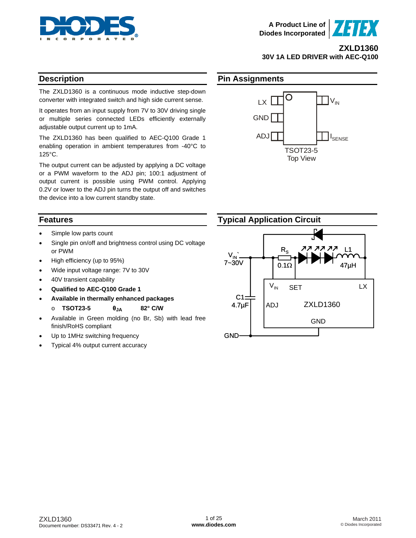



## **ZXLD1360 30V 1A LED DRIVER with AEC-Q100**

## **Description**

The ZXLD1360 is a continuous mode inductive step-down converter with integrated switch and high side current sense.

It operates from an input supply from 7V to 30V driving single or multiple series connected LEDs efficiently externally adjustable output current up to 1mA.

The ZXLD1360 has been qualified to AEC-Q100 Grade 1 enabling operation in ambient temperatures from -40°C to 125°C.

The output current can be adjusted by applying a DC voltage or a PWM waveform to the ADJ pin; 100:1 adjustment of output current is possible using PWM control. Applying 0.2V or lower to the ADJ pin turns the output off and switches the device into a low current standby state.

## **Features**

- Simple low parts count
- Single pin on/off and brightness control using DC voltage or PWM
- High efficiency (up to 95%)
- Wide input voltage range: 7V to 30V
- 40V transient capability
- **Qualified to AEC-Q100 Grade 1**
- **Available in thermally enhanced packages** 
	- o **TSOT23-5 θJA 82° C/W**
- Available in Green molding (no Br, Sb) with lead free finish/RoHS compliant
- Up to 1MHz switching frequency
- Typical 4% output current accuracy

## **Pin Assignments**



# **Typical Application Circuit**

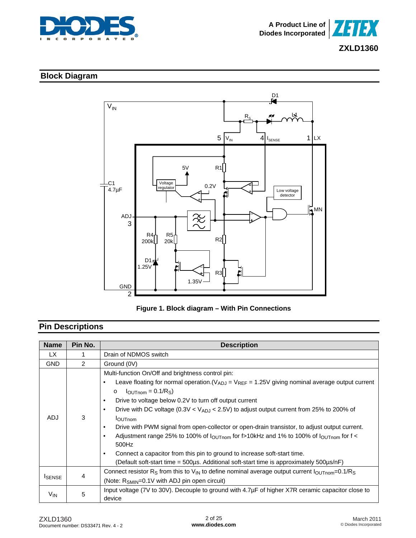



# **Block Diagram**





# **Pin Descriptions**

| <b>Name</b>     | Pin No. | <b>Description</b>                                                                                                                                                                                                                                                                                                                                                                                                                                                                                                                                                                                                                                                                                                                                                                  |  |  |  |  |
|-----------------|---------|-------------------------------------------------------------------------------------------------------------------------------------------------------------------------------------------------------------------------------------------------------------------------------------------------------------------------------------------------------------------------------------------------------------------------------------------------------------------------------------------------------------------------------------------------------------------------------------------------------------------------------------------------------------------------------------------------------------------------------------------------------------------------------------|--|--|--|--|
| LX.             |         | Drain of NDMOS switch                                                                                                                                                                                                                                                                                                                                                                                                                                                                                                                                                                                                                                                                                                                                                               |  |  |  |  |
| <b>GND</b>      | 2       | Ground (0V)                                                                                                                                                                                                                                                                                                                                                                                                                                                                                                                                                                                                                                                                                                                                                                         |  |  |  |  |
| <b>ADJ</b>      | 3       | Multi-function On/Off and brightness control pin:<br>Leave floating for normal operation. $(V_{ADJ} = V_{REF} = 1.25V$ giving nominal average output current<br>$\bullet$<br>$I_{\text{OUTnom}} = 0.1/R_{\text{S}}$<br>$\circ$<br>Drive to voltage below 0.2V to turn off output current<br>$\bullet$<br>Drive with DC voltage (0.3V < $V_{ADJ}$ < 2.5V) to adjust output current from 25% to 200% of<br>$\bullet$<br><b>I</b> OUTnom<br>Drive with PWM signal from open-collector or open-drain transistor, to adjust output current.<br>$\bullet$<br>Adjustment range 25% to 100% of $I_{\text{OUTnom}}$ for f>10kHz and 1% to 100% of $I_{\text{OUTnom}}$ for f <<br>$\bullet$<br>500Hz<br>Connect a capacitor from this pin to ground to increase soft-start time.<br>$\bullet$ |  |  |  |  |
|                 |         | (Default soft-start time = 500µs. Additional soft-start time is approximately 500µs/nF)<br>Connect resistor R <sub>S</sub> from this to V <sub>IN</sub> to define nominal average output current $I_{\text{OUTnom}}=0.1/R_{\text{S}}$                                                                                                                                                                                                                                                                                                                                                                                                                                                                                                                                               |  |  |  |  |
| <b>I</b> SENSE  | 4       | (Note: $R_{SMIN}=0.1V$ with ADJ pin open circuit)                                                                                                                                                                                                                                                                                                                                                                                                                                                                                                                                                                                                                                                                                                                                   |  |  |  |  |
| V <sub>IN</sub> | 5       | Input voltage ( $7V$ to $30V$ ). Decouple to ground with $4.7\mu$ F of higher X7R ceramic capacitor close to<br>device                                                                                                                                                                                                                                                                                                                                                                                                                                                                                                                                                                                                                                                              |  |  |  |  |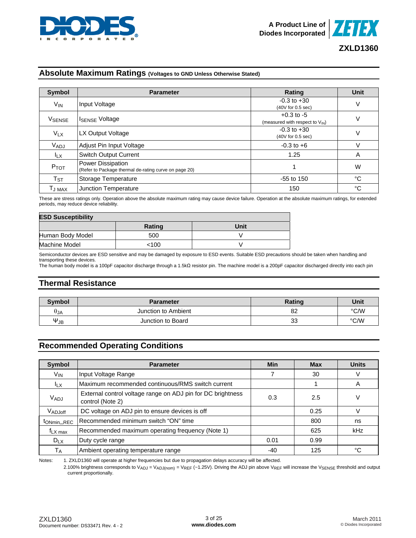



## **Absolute Maximum Ratings (Voltages to GND Unless Otherwise Stated)**

| <b>Symbol</b>                 | <b>Parameter</b>                                                           | Rating                                                        | Unit |
|-------------------------------|----------------------------------------------------------------------------|---------------------------------------------------------------|------|
| $V_{IN}$                      | Input Voltage                                                              | $-0.3$ to $+30$<br>(40V for 0.5 sec)                          | V    |
| VSENSE                        | <b>ISENSE Voltage</b>                                                      | $+0.3$ to $-5$<br>(measured with respect to V <sub>IN</sub> ) | V    |
| $V_{LX}$                      | LX Output Voltage                                                          | $-0.3$ to $+30$<br>(40V for 0.5 sec)                          | ٧    |
| VADJ                          | Adjust Pin Input Voltage                                                   | $-0.3$ to $+6$                                                | V    |
| $I_{LX}$                      | <b>Switch Output Current</b>                                               | 1.25                                                          | A    |
| P <sub>TOT</sub>              | Power Dissipation<br>(Refer to Package thermal de-rating curve on page 20) |                                                               | W    |
| $\mathsf{T}_{\texttt{ST}}$    | Storage Temperature                                                        | $-55$ to 150                                                  | °C   |
| $\mathsf{T}_{\mathsf{J}}$ max | Junction Temperature                                                       | 150                                                           | °C   |

These are stress ratings only. Operation above the absolute maximum rating may cause device failure. Operation at the absolute maximum ratings, for extended periods, may reduce device reliability.

| <b>ESD Susceptibility</b> |        |      |  |  |  |  |  |
|---------------------------|--------|------|--|--|--|--|--|
|                           | Rating | Unit |  |  |  |  |  |
| Human Body Model          | 500    |      |  |  |  |  |  |
| Machine Model             | <100   |      |  |  |  |  |  |

Semiconductor devices are ESD sensitive and may be damaged by exposure to ESD events. Suitable ESD precautions should be taken when handling and transporting these devices.

The human body model is a 100pF capacitor discharge through a 1.5kΩ resistor pin. The machine model is a 200pF capacitor discharged directly into each pin

## **Thermal Resistance**

| <b>Symbol</b>        | <b>Parameter</b>    | <b>Rating</b> | Unit |
|----------------------|---------------------|---------------|------|
| $\theta$ JA          | Junction to Ambient | 82            | °C/W |
| $\Psi_{\mathsf{JB}}$ | Junction to Board   | 33            | °C/W |

## **Recommended Operating Conditions**

| <b>Symbol</b>               | <b>Parameter</b>                                                                | Min  | <b>Max</b> | <b>Units</b> |
|-----------------------------|---------------------------------------------------------------------------------|------|------------|--------------|
| $V_{IN}$                    | Input Voltage Range                                                             |      | 30         | V            |
| $I_{LX}$                    | Maximum recommended continuous/RMS switch current                               |      |            | A            |
| V <sub>ADJ</sub>            | External control voltage range on ADJ pin for DC brightness<br>control (Note 2) | 0.3  | 2.5        | V            |
| V <sub>ADJoff</sub>         | DC voltage on ADJ pin to ensure devices is off                                  |      | 0.25       |              |
| t <sub>ONmin</sub> _REC     | Recommended minimum switch "ON" time                                            |      | 800        | ns           |
| $f_{\text{L}X \text{ max}}$ | Recommended maximum operating frequency (Note 1)                                |      | 625        | kHz          |
| $D_{LX}$                    | Duty cycle range                                                                | 0.01 | 0.99       |              |
| $T_A$                       | Ambient operating temperature range                                             | -40  | 125        | °C           |

Notes: 1. ZXLD1360 will operate at higher frequencies but due to propagation delays accuracy will be affected.

2.100% brightness corresponds to  $V_{ADJ} = V_{ADJ(nom)} = V_{REF}$  (~1.25V). Driving the ADJ pin above  $V_{REF}$  will increase the  $V_{SENSE}$  threshold and output current proportionally.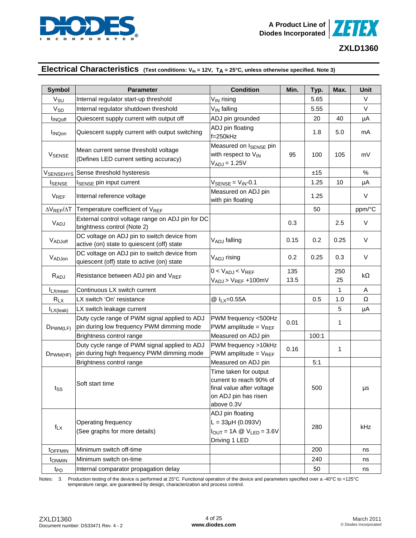



## **Electrical Characteristics** (Test conditions: V<sub>IN</sub> = 12V, T<sub>A</sub> = 25°C, unless otherwise specified. Note 3)

| <b>Symbol</b>              | <b>Parameter</b>                                                                            | <b>Condition</b>                                                                                                    | Min.        | Typ.  | Max.      | <b>Unit</b> |
|----------------------------|---------------------------------------------------------------------------------------------|---------------------------------------------------------------------------------------------------------------------|-------------|-------|-----------|-------------|
| $V_{\text{SU}}$            | Internal regulator start-up threshold                                                       | $V_{IN}$ rising                                                                                                     |             | 5.65  |           | V           |
| $\mathsf{V}_{\mathsf{SD}}$ | Internal regulator shutdown threshold                                                       | V <sub>IN</sub> falling                                                                                             |             | 5.55  |           | V           |
| <b>INQoff</b>              | Quiescent supply current with output off                                                    | ADJ pin grounded                                                                                                    |             | 20    | 40        | μA          |
| <b>I</b> INQon             | Quiescent supply current with output switching                                              | ADJ pin floating<br>$f = 250$ kHz                                                                                   |             | 1.8   | 5.0       | mA          |
| <b>VSENSE</b>              | Mean current sense threshold voltage<br>(Defines LED current setting accuracy)              | Measured on ISENSE pin<br>with respect to VIN<br>$V_{ADJ} = 1.25V$                                                  | 95          | 100   | 105       | mV          |
| V <sub>SENSEHYS</sub>      | Sense threshold hysteresis                                                                  |                                                                                                                     |             | ±15   |           | $\%$        |
| <b>I</b> SENSE             | I <sub>SENSE</sub> pin input current                                                        | $V_{\text{SENSE}} = V_{\text{IN}} - 0.1$                                                                            |             | 1.25  | 10        | μA          |
| <b>V<sub>REF</sub></b>     | Internal reference voltage                                                                  | Measured on ADJ pin<br>with pin floating                                                                            |             | 1.25  |           | V           |
| $\Delta V_{REF}/\Delta T$  | Temperature coefficient of VREF                                                             |                                                                                                                     |             | 50    |           | ppm/°C      |
| VADJ                       | External control voltage range on ADJ pin for DC<br>brightness control (Note 2)             |                                                                                                                     | 0.3         |       | 2.5       | V           |
| VADJoff                    | DC voltage on ADJ pin to switch device from<br>active (on) state to quiescent (off) state   | VADJ falling                                                                                                        | 0.15        | 0.2   | 0.25      | V           |
| VADJon                     | DC voltage on ADJ pin to switch device from<br>quiescent (off) state to active (on) state   | VADJ rising                                                                                                         | 0.2         | 0.25  | 0.3       | V           |
| R <sub>ADJ</sub>           | Resistance between ADJ pin and VREF                                                         | $0 < V_{ADJ} < V_{REF}$<br>$V_{ADJ}$ > $V_{REF}$ +100mV                                                             | 135<br>13.5 |       | 250<br>25 | kΩ          |
| <b>I</b> LXmean            | Continuous LX switch current                                                                |                                                                                                                     |             |       | 1         | A           |
| $R_{LX}$                   | LX switch 'On' resistance                                                                   | @ I <sub>LX</sub> =0.55A                                                                                            |             | 0.5   | 1.0       | Ω           |
| $I_{LX(leak)}$             | LX switch leakage current                                                                   |                                                                                                                     |             |       | 5         | μA          |
| $D_{\text{PWM(LF)}}$       | Duty cycle range of PWM signal applied to ADJ<br>pin during low frequency PWM dimming mode  | PWM frequency <500Hz<br>PWM amplitude = $V_{REF}$                                                                   | 0.01        |       | 1         |             |
|                            | Brightness control range                                                                    | Measured on ADJ pin                                                                                                 |             | 100:1 |           |             |
| $D_{\text{PWM(HF)}}$       | Duty cycle range of PWM signal applied to ADJ<br>pin during high frequency PWM dimming mode | PWM frequency >10kHz<br>PWM amplitude = $V_{REF}$                                                                   | 0.16        |       | 1         |             |
|                            | Brightness control range                                                                    | Measured on ADJ pin                                                                                                 |             | 5:1   |           |             |
| $t_{SS}$                   | Soft start time                                                                             | Time taken for output<br>current to reach 90% of<br>final value after voltage<br>on ADJ pin has risen<br>above 0.3V |             | 500   |           | μs          |
| $f_{\text{L}X}$            | Operating frequency<br>(See graphs for more details)                                        | ADJ pin floating<br>$L = 33\mu H (0.093V)$<br>$I_{OUT} = 1A \tQ \tV_{LED} = 3.6V$<br>Driving 1 LED                  |             | 280   |           | kHz         |
| t <sub>OFFMIN</sub>        | Minimum switch off-time                                                                     |                                                                                                                     |             | 200   |           | ns          |
| t <sub>ONMIN</sub>         | Minimum switch on-time                                                                      |                                                                                                                     |             | 240   |           | ns          |
| t <sub>PD</sub>            | Internal comparator propagation delay                                                       |                                                                                                                     |             | 50    |           | ns          |

Notes: 3. Production testing of the device is performed at 25°C. Functional operation of the device and parameters specified over a -40°C to +125°C temperature range, are guaranteed by design, characterization and process control.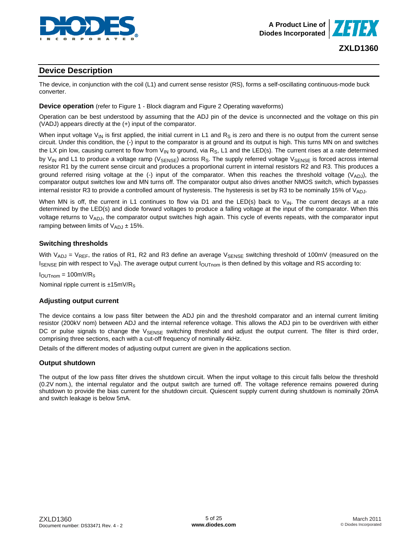

## **Device Description**

The device, in conjunction with the coil (L1) and current sense resistor (RS), forms a self-oscillating continuous-mode buck converter.

#### **Device operation** (refer to Figure 1 - Block diagram and Figure 2 Operating waveforms)

Operation can be best understood by assuming that the ADJ pin of the device is unconnected and the voltage on this pin (VADJ) appears directly at the (+) input of the comparator.

When input voltage V<sub>IN</sub> is first applied, the initial current in L1 and R<sub>S</sub> is zero and there is no output from the current sense circuit. Under this condition, the (-) input to the comparator is at ground and its output is high. This turns MN on and switches the LX pin low, causing current to flow from  $V_{\text{IN}}$  to ground, via R<sub>S</sub>, L1 and the LED(s). The current rises at a rate determined by V<sub>IN</sub> and L1 to produce a voltage ramp (V<sub>SENSE</sub>) across R<sub>S</sub>. The supply referred voltage V<sub>SENSE</sub> is forced across internal resistor R1 by the current sense circuit and produces a proportional current in internal resistors R2 and R3. This produces a ground referred rising voltage at the (-) input of the comparator. When this reaches the threshold voltage ( $V_{ADJ}$ ), the comparator output switches low and MN turns off. The comparator output also drives another NMOS switch, which bypasses internal resistor R3 to provide a controlled amount of hysteresis. The hysteresis is set by R3 to be nominally 15% of  $V_{ADJ}$ .

When MN is off, the current in L1 continues to flow via D1 and the LED(s) back to  $V_{IN}$ . The current decays at a rate determined by the LED(s) and diode forward voltages to produce a falling voltage at the input of the comparator. When this voltage returns to  $V_{ADJ}$ , the comparator output switches high again. This cycle of events repeats, with the comparator input ramping between limits of  $V_{ADJ}$   $\pm$  15%.

#### **Switching thresholds**

With  $V_{ADJ}$  =  $V_{REF}$ , the ratios of R1, R2 and R3 define an average  $V_{SENSE}$  switching threshold of 100mV (measured on the  $I_{\text{SENSE}}$  pin with respect to  $V_{\text{IN}}$ ). The average output current  $I_{\text{OUTnom}}$  is then defined by this voltage and RS according to:

 $I<sub>OUTnom</sub> = 100mV/R<sub>S</sub>$ Nominal ripple current is  $±15mV/R<sub>S</sub>$ 

#### **Adjusting output current**

The device contains a low pass filter between the ADJ pin and the threshold comparator and an internal current limiting resistor (200kV nom) between ADJ and the internal reference voltage. This allows the ADJ pin to be overdriven with either DC or pulse signals to change the  $V_{\text{SENSE}}$  switching threshold and adjust the output current. The filter is third order, comprising three sections, each with a cut-off frequency of nominally 4kHz.

Details of the different modes of adjusting output current are given in the applications section.

#### **Output shutdown**

The output of the low pass filter drives the shutdown circuit. When the input voltage to this circuit falls below the threshold (0.2V nom.), the internal regulator and the output switch are turned off. The voltage reference remains powered during shutdown to provide the bias current for the shutdown circuit. Quiescent supply current during shutdown is nominally 20mA and switch leakage is below 5mA.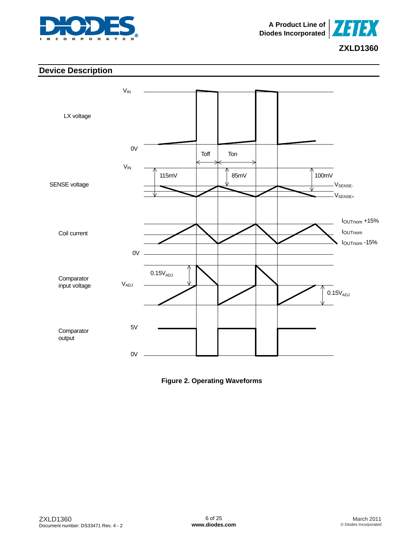



## **Device Description**



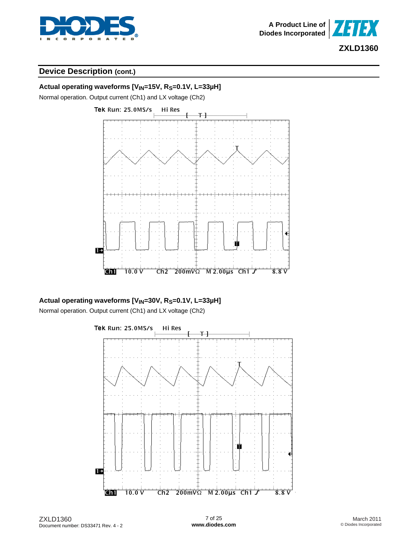



## **Device Description (cont.)**



## Actual operating waveforms [V<sub>IN</sub>=30V, R<sub>S</sub>=0.1V, L=33µH]

Normal operation. Output current (Ch1) and LX voltage (Ch2)



ZXLD1360 Document number: DS33471 Rev. 4 - 2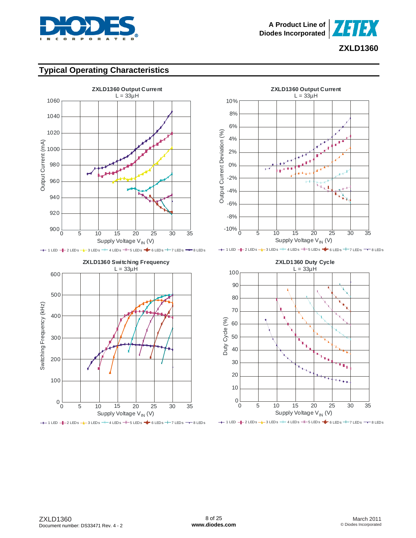



## **Typical Operating Characteristics**









 $+$  1 LED  $+$  2 LEDs  $+$  3 LEDs  $+$  4 LEDs  $+$  5 LEDs  $+$  6 LEDs  $+$  7 LEDs  $-$  8 LEDs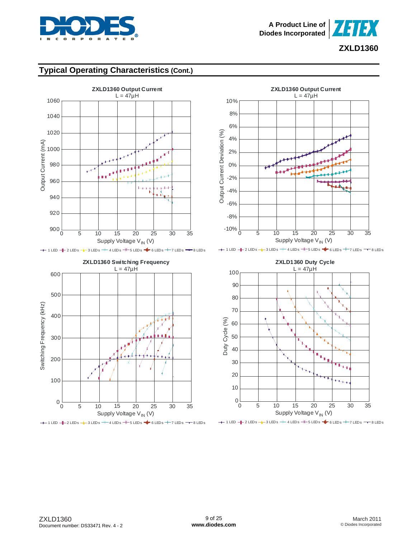



## **Typical Operating Characteristics (Cont.)**



0 5 10 15 20 25 30 35 Supply Voltage V<sub>IN</sub> (V)  $+$  1 LED  $+$  2 LEDs  $+$  3 LEDs  $+$  4 LEDs  $+$  5 LEDs  $+$  6 LEDs  $+$  7 LEDs  $-$  8 LEDs



 $+$  1 LED  $+$  2 LEDs  $+$  3 LEDs  $+$  4 LEDs  $+$  5 LEDs  $+$  6 LEDs  $+$  7 LEDs  $-$  8 LEDs



 $+$  1 LED  $+$  2 LEDs  $+$  3 LEDs  $+$  4 LEDs  $+$  5 LEDs  $+$  6 LEDs  $+$  7 LEDs  $-$  8 LEDs

 $0\frac{L}{0}$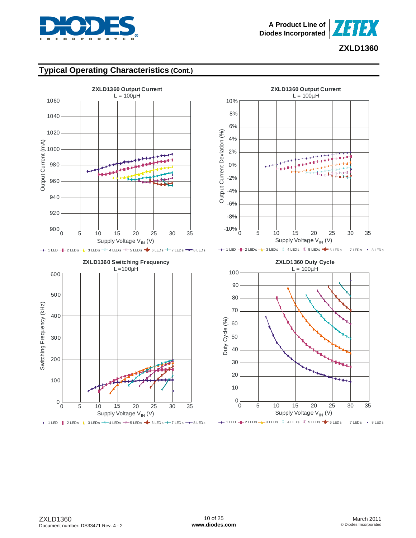



## **Typical Operating Characteristics (Cont.)**

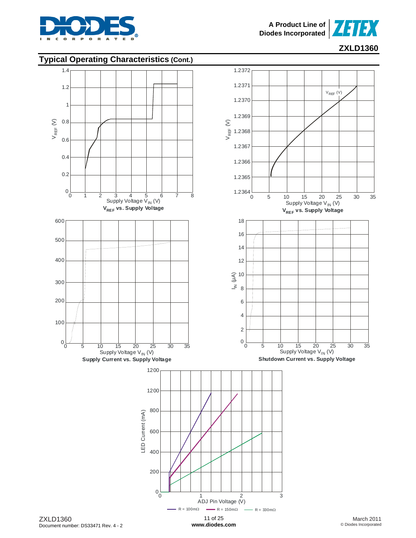



# **Typical Operating Characteristics (Cont.)**



**[www.diodes.com](http://www.diodes.com)**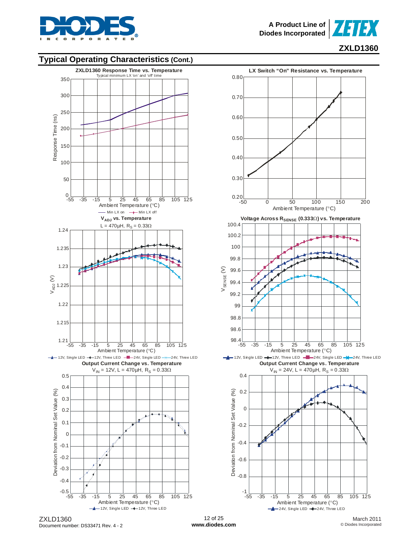



## **Typical Operating Characteristics (Cont.)**





ZXLD1360 Document number: DS33471 Rev. 4 - 2

March 2011 © Diodes Incorporated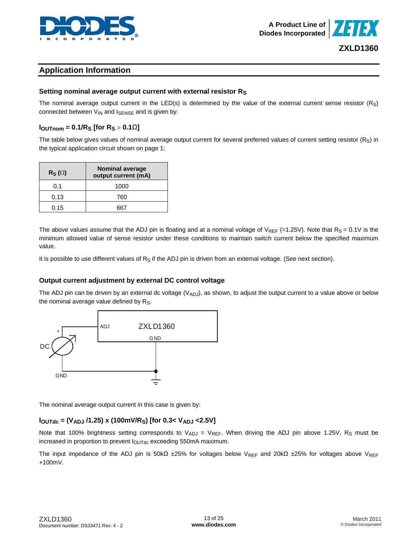



## **Application Information**

### **Setting nominal average output current with external resistor RS**

The nominal average output current in the LED(s) is determined by the value of the external current sense resistor  $(R<sub>S</sub>)$ connected between  $V_{IN}$  and  $I_{SENSE}$  and is given by:

## **IOUTnom = 0.1/RS [for RS** > **0.1**Ω**]**

The table below gives values of nominal average output current for several preferred values of current setting resistor  $(R_S)$  in the typical application circuit shown on page 1:

| $R_S(\Omega)$ | <b>Nominal average</b><br>output current (mA) |
|---------------|-----------------------------------------------|
| 0.1           | 1000                                          |
| 0.13          | 760                                           |
| 0.15          |                                               |

The above values assume that the ADJ pin is floating and at a nominal voltage of  $V_{REF}$  (=1.25V). Note that  $R_S = 0.1V$  is the minimum allowed value of sense resistor under these conditions to maintain switch current below the specified maximum value.

It is possible to use different values of  $R_S$  if the ADJ pin is driven from an external voltage. (See next section).

### **Output current adjustment by external DC control voltage**

The ADJ pin can be driven by an external dc voltage  $(V_{ADJ})$ , as shown, to adjust the output current to a value above or below the nominal average value defined by  $R_S$ .



The nominal average output current in this case is given by:

### **IOUTdc = (VADJ /1.25) x (100mV/RS) [for 0.3< VADJ <2.5V]**

Note that 100% brightness setting corresponds to  $V_{ADJ} = V_{REF}$ . When driving the ADJ pin above 1.25V, R<sub>S</sub> must be increased in proportion to prevent  $I_{\text{OUTdc}}$  exceeding 550mA maximum.

The input impedance of the ADJ pin is 50kΩ ±25% for voltages below V<sub>REF</sub> and 20kΩ ±25% for voltages above V<sub>REF</sub> +100mV.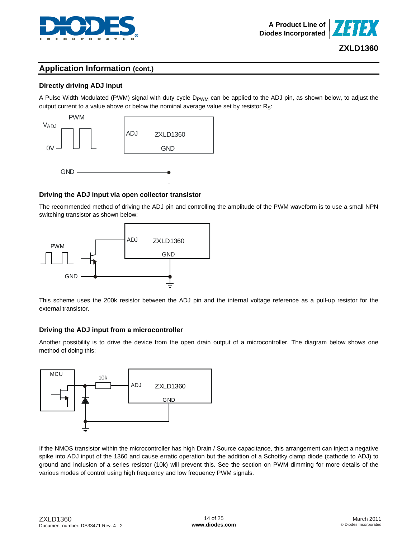

## **Directly driving ADJ input**

A Pulse Width Modulated (PWM) signal with duty cycle D<sub>PWM</sub> can be applied to the ADJ pin, as shown below, to adjust the output current to a value above or below the nominal average value set by resistor  $R_S$ :



## **Driving the ADJ input via open collector transistor**

The recommended method of driving the ADJ pin and controlling the amplitude of the PWM waveform is to use a small NPN switching transistor as shown below:



This scheme uses the 200k resistor between the ADJ pin and the internal voltage reference as a pull-up resistor for the external transistor.

## **Driving the ADJ input from a microcontroller**

Another possibility is to drive the device from the open drain output of a microcontroller. The diagram below shows one method of doing this:



If the NMOS transistor within the microcontroller has high Drain / Source capacitance, this arrangement can inject a negative spike into ADJ input of the 1360 and cause erratic operation but the addition of a Schottky clamp diode (cathode to ADJ) to ground and inclusion of a series resistor (10k) will prevent this. See the section on PWM dimming for more details of the various modes of control using high frequency and low frequency PWM signals.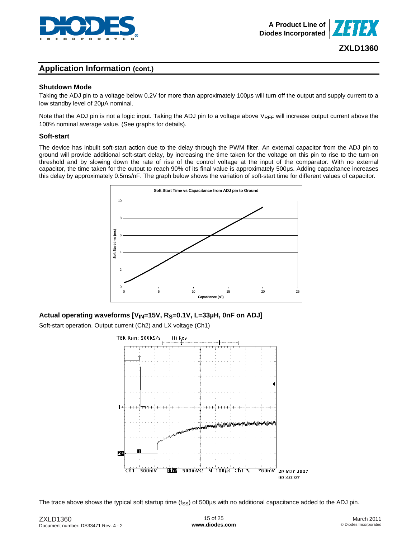



#### **Shutdown Mode**

Taking the ADJ pin to a voltage below 0.2V for more than approximately 100µs will turn off the output and supply current to a low standby level of 20µA nominal.

Note that the ADJ pin is not a logic input. Taking the ADJ pin to a voltage above  $V_{REF}$  will increase output current above the 100% nominal average value. (See graphs for details).

#### **Soft-start**

The device has inbuilt soft-start action due to the delay through the PWM filter. An external capacitor from the ADJ pin to ground will provide additional soft-start delay, by increasing the time taken for the voltage on this pin to rise to the turn-on threshold and by slowing down the rate of rise of the control voltage at the input of the comparator. With no external capacitor, the time taken for the output to reach 90% of its final value is approximately 500μs. Adding capacitance increases this delay by approximately 0.5ms/nF. The graph below shows the variation of soft-start time for different values of capacitor.



#### Actual operating waveforms [V<sub>IN</sub>=15V, R<sub>S</sub>=0.1V, L=33µH, 0nF on ADJ]

Soft-start operation. Output current (Ch2) and LX voltage (Ch1)



The trace above shows the typical soft startup time  $(t_{\rm SS})$  of 500µs with no additional capacitance added to the ADJ pin.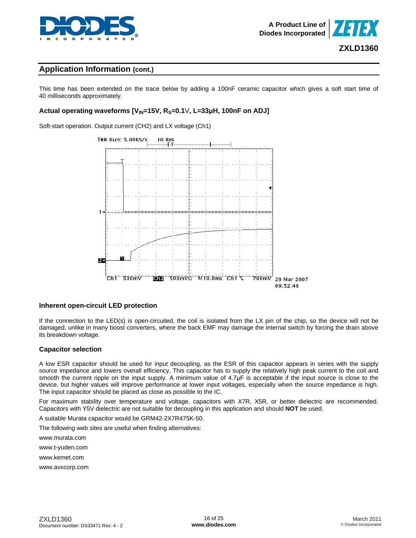

This time has been extended on the trace below by adding a 100nF ceramic capacitor which gives a soft start time of 40 milliseconds approximately.

### **Actual operating waveforms [VIN=15V, RS=0.1**V**, L=33μH, 100nF on ADJ]**

Soft-start operation. Output current (CH2) and LX voltage (Ch1)



#### **Inherent open-circuit LED protection**

If the connection to the LED(s) is open-circuited, the coil is isolated from the LX pin of the chip, so the device will not be damaged, unlike in many boost converters, where the back EMF may damage the internal switch by forcing the drain above its breakdown voltage.

#### **Capacitor selection**

A low ESR capacitor should be used for input decoupling, as the ESR of this capacitor appears in series with the supply source impedance and lowers overall efficiency. This capacitor has to supply the relatively high peak current to the coil and smooth the current ripple on the input supply. A minimum value of 4.7µF is acceptable if the input source is close to the device, but higher values will improve performance at lower input voltages, especially when the source impedance is high. The input capacitor should be placed as close as possible to the IC.

For maximum stability over temperature and voltage, capacitors with X7R, X5R, or better dielectric are recommended. Capacitors with Y5V dielectric are not suitable for decoupling in this application and should **NOT** be used.

A suitable Murata capacitor would be GRM42-2X7R475K-50.

The following web sites are useful when finding alternatives:

[www.murata.com](http://www.murata.com) 

[www.t-yuden.com](http://www.t-yuden.com) 

[www.kemet.com](http://www.kemet.com) 

[www.avxcorp.com](http://www.avxcorp.com)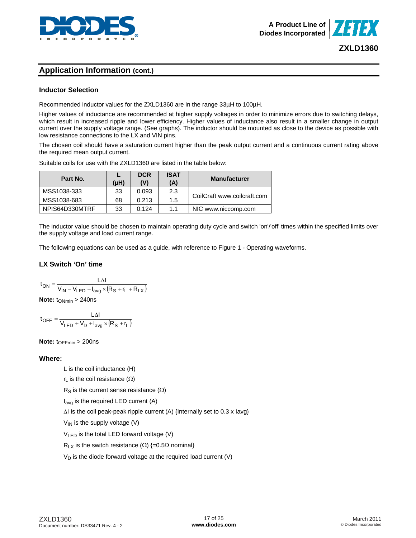

### **Inductor Selection**

Recommended inductor values for the ZXLD1360 are in the range 33µH to 100µH.

Higher values of inductance are recommended at higher supply voltages in order to minimize errors due to switching delays, which result in increased ripple and lower efficiency. Higher values of inductance also result in a smaller change in output current over the supply voltage range. (See graphs). The inductor should be mounted as close to the device as possible with low resistance connections to the LX and VIN pins.

The chosen coil should have a saturation current higher than the peak output current and a continuous current rating above the required mean output current.

Suitable coils for use with the ZXLD1360 are listed in the table below:

| Part No.       | (µH) | <b>DCR</b><br>(V) | <b>ISAT</b><br>(A) | <b>Manufacturer</b>         |  |
|----------------|------|-------------------|--------------------|-----------------------------|--|
| MSS1038-333    | 33   | 0.093             | 2.3                | CoilCraft www.coilcraft.com |  |
| MSS1038-683    | 68   | 0.213             | 1.5                |                             |  |
| NPIS64D330MTRF | 33   | 0.124             | 11                 | NIC www.niccomp.com         |  |

The inductor value should be chosen to maintain operating duty cycle and switch 'on'/'off' times within the specified limits over the supply voltage and load current range.

The following equations can be used as a guide, with reference to Figure 1 - Operating waveforms.

#### **LX Switch 'On' time**

$$
t_{ON} = \frac{L\Delta I}{V_{IN} - V_{LED} - I_{avg} \times (R_S + r_L + R_{LX})}
$$

**Note:** t<sub>ONmin</sub> > 240ns

 $t_{\text{OFF}} = \frac{L \Delta I}{V_{\text{LED}} + V_{\text{D}} + I_{\text{avg}} \times (R_{\text{S}} + r_{\text{L}})}$ 

**Note:** t<sub>OFFmin</sub> > 200ns

#### **Where:**

L is the coil inductance (H)

 $r<sub>L</sub>$  is the coil resistance ( $\Omega$ )

 $R_S$  is the current sense resistance  $(Ω)$ 

 $I_{\text{ava}}$  is the required LED current (A)

ΔI is the coil peak-peak ripple current (A) {Internally set to 0.3 x Iavg}

 $V_{IN}$  is the supply voltage (V)

VLED is the total LED forward voltage (V)

R<sub>LX</sub> is the switch resistance ( $\Omega$ ) {=0.5 $\Omega$  nominal}

 $V_D$  is the diode forward voltage at the required load current (V)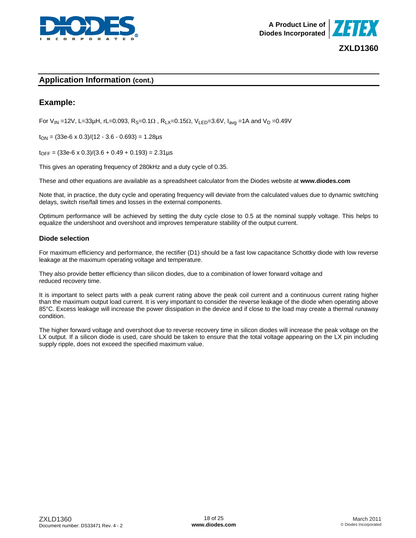



## **Example:**

For V<sub>IN</sub> =12V, L=33μH, rL=0.093, R<sub>S</sub>=0.1Ω, R<sub>LX</sub>=0.15Ω, V<sub>LED</sub>=3.6V, I<sub>avg</sub> =1A and V<sub>D</sub> =0.49V

 $t_{ON} = (33e-6 \times 0.3)/(12 - 3.6 - 0.693) = 1.28 \mu s$ 

 $t_{\text{OFF}} = (33e-6 \times 0.3)/(3.6 + 0.49 + 0.193) = 2.31 \mu s$ 

This gives an operating frequency of 280kHz and a duty cycle of 0.35.

These and other equations are available as a spreadsheet calculator from the Diodes website at **[www.diodes.com](http://www.diodes.com)**

Note that, in practice, the duty cycle and operating frequency will deviate from the calculated values due to dynamic switching delays, switch rise/fall times and losses in the external components.

Optimum performance will be achieved by setting the duty cycle close to 0.5 at the nominal supply voltage. This helps to equalize the undershoot and overshoot and improves temperature stability of the output current.

#### **Diode selection**

For maximum efficiency and performance, the rectifier (D1) should be a fast low capacitance Schottky diode with low reverse leakage at the maximum operating voltage and temperature.

They also provide better efficiency than silicon diodes, due to a combination of lower forward voltage and reduced recovery time.

It is important to select parts with a peak current rating above the peak coil current and a continuous current rating higher than the maximum output load current. It is very important to consider the reverse leakage of the diode when operating above 85°C. Excess leakage will increase the power dissipation in the device and if close to the load may create a thermal runaway condition.

The higher forward voltage and overshoot due to reverse recovery time in silicon diodes will increase the peak voltage on the LX output. If a silicon diode is used, care should be taken to ensure that the total voltage appearing on the LX pin including supply ripple, does not exceed the specified maximum value.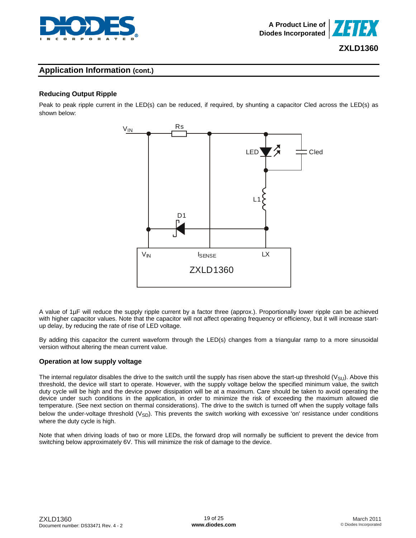

## **Reducing Output Ripple**

Peak to peak ripple current in the LED(s) can be reduced, if required, by shunting a capacitor Cled across the LED(s) as shown below:



A value of 1µF will reduce the supply ripple current by a factor three (approx.). Proportionally lower ripple can be achieved with higher capacitor values. Note that the capacitor will not affect operating frequency or efficiency, but it will increase startup delay, by reducing the rate of rise of LED voltage.

By adding this capacitor the current waveform through the LED(s) changes from a triangular ramp to a more sinusoidal version without altering the mean current value.

#### **Operation at low supply voltage**

The internal regulator disables the drive to the switch until the supply has risen above the start-up threshold  $(V_{\text{SU}})$ . Above this threshold, the device will start to operate. However, with the supply voltage below the specified minimum value, the switch duty cycle will be high and the device power dissipation will be at a maximum. Care should be taken to avoid operating the device under such conditions in the application, in order to minimize the risk of exceeding the maximum allowed die temperature. (See next section on thermal considerations). The drive to the switch is turned off when the supply voltage falls below the under-voltage threshold ( $V_{SD}$ ). This prevents the switch working with excessive 'on' resistance under conditions where the duty cycle is high.

Note that when driving loads of two or more LEDs, the forward drop will normally be sufficient to prevent the device from switching below approximately 6V. This will minimize the risk of damage to the device.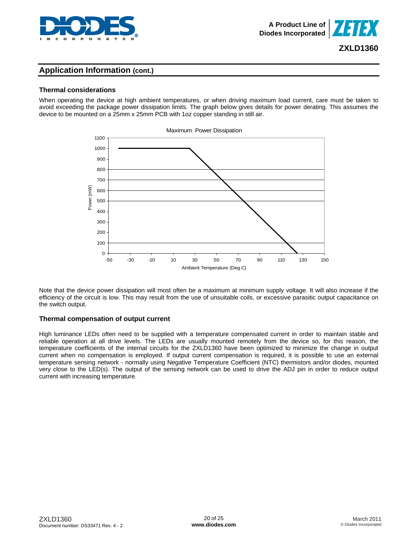

## **Thermal considerations**

When operating the device at high ambient temperatures, or when driving maximum load current, care must be taken to avoid exceeding the package power dissipation limits. The graph below gives details for power derating. This assumes the device to be mounted on a 25mm x 25mm PCB with 1oz copper standing in still air.



Note that the device power dissipation will most often be a maximum at minimum supply voltage. It will also increase if the efficiency of the circuit is low. This may result from the use of unsuitable coils, or excessive parasitic output capacitance on the switch output.

## **Thermal compensation of output current**

High luminance LEDs often need to be supplied with a temperature compensated current in order to maintain stable and reliable operation at all drive levels. The LEDs are usually mounted remotely from the device so, for this reason, the temperature coefficients of the internal circuits for the ZXLD1360 have been optimized to minimize the change in output current when no compensation is employed. If output current compensation is required, it is possible to use an external temperature sensing network - normally using Negative Temperature Coefficient (NTC) thermistors and/or diodes, mounted very close to the LED(s). The output of the sensing network can be used to drive the ADJ pin in order to reduce output current with increasing temperature.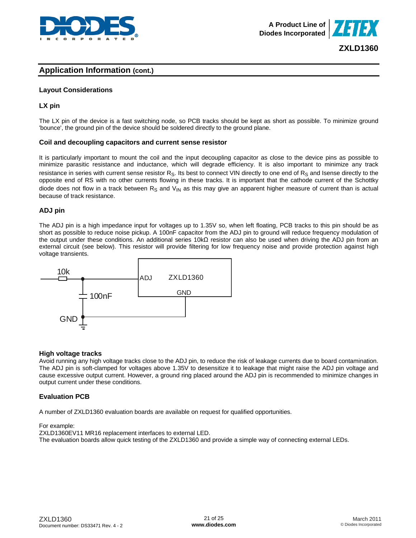



#### **Layout Considerations**

#### **LX pin**

The LX pin of the device is a fast switching node, so PCB tracks should be kept as short as possible. To minimize ground 'bounce', the ground pin of the device should be soldered directly to the ground plane.

#### **Coil and decoupling capacitors and current sense resistor**

It is particularly important to mount the coil and the input decoupling capacitor as close to the device pins as possible to minimize parasitic resistance and inductance, which will degrade efficiency. It is also important to minimize any track resistance in series with current sense resistor  $R_S$ . Its best to connect VIN directly to one end of  $R_S$  and Isense directly to the opposite end of RS with no other currents flowing in these tracks. It is important that the cathode current of the Schottky diode does not flow in a track between  $R_s$  and  $V_{\text{IN}}$  as this may give an apparent higher measure of current than is actual because of track resistance.

#### **ADJ pin**

The ADJ pin is a high impedance input for voltages up to 1.35V so, when left floating, PCB tracks to this pin should be as short as possible to reduce noise pickup. A 100nF capacitor from the ADJ pin to ground will reduce frequency modulation of the output under these conditions. An additional series 10kΩ resistor can also be used when driving the ADJ pin from an external circuit (see below). This resistor will provide filtering for low frequency noise and provide protection against high voltage transients.



#### **High voltage tracks**

Avoid running any high voltage tracks close to the ADJ pin, to reduce the risk of leakage currents due to board contamination. The ADJ pin is soft-clamped for voltages above 1.35V to desensitize it to leakage that might raise the ADJ pin voltage and cause excessive output current. However, a ground ring placed around the ADJ pin is recommended to minimize changes in output current under these conditions.

#### **Evaluation PCB**

A number of ZXLD1360 evaluation boards are available on request for qualified opportunities.

#### For example:

ZXLD1360EV11 MR16 replacement interfaces to external LED. The evaluation boards allow quick testing of the ZXLD1360 and provide a simple way of connecting external LEDs.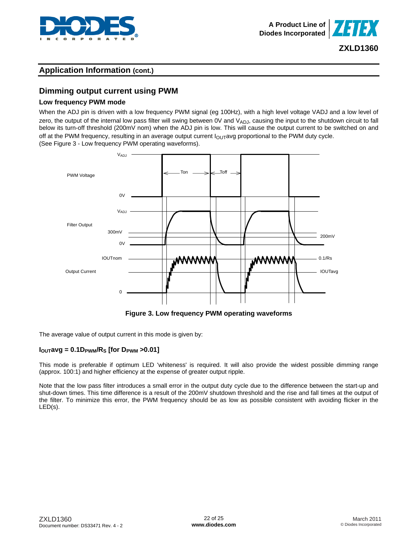



## **Dimming output current using PWM**

#### **Low frequency PWM mode**

When the ADJ pin is driven with a low frequency PWM signal (eg 100Hz), with a high level voltage VADJ and a low level of zero, the output of the internal low pass filter will swing between  $0V$  and  $V_{ADJ}$ , causing the input to the shutdown circuit to fall below its turn-off threshold (200mV nom) when the ADJ pin is low. This will cause the output current to be switched on and off at the PWM frequency, resulting in an average output current  $I_{\text{OUT}}$ avg proportional to the PWM duty cycle. (See Figure 3 - Low frequency PWM operating waveforms).



**Figure 3. Low frequency PWM operating waveforms** 

The average value of output current in this mode is given by:

### $I_{\text{OUT}}$ avg = 0.1D<sub>PWM</sub>/R<sub>S</sub> [for D<sub>PWM</sub> > 0.01]

This mode is preferable if optimum LED 'whiteness' is required. It will also provide the widest possible dimming range (approx. 100:1) and higher efficiency at the expense of greater output ripple.

Note that the low pass filter introduces a small error in the output duty cycle due to the difference between the start-up and shut-down times. This time difference is a result of the 200mV shutdown threshold and the rise and fall times at the output of the filter. To minimize this error, the PWM frequency should be as low as possible consistent with avoiding flicker in the LED(s).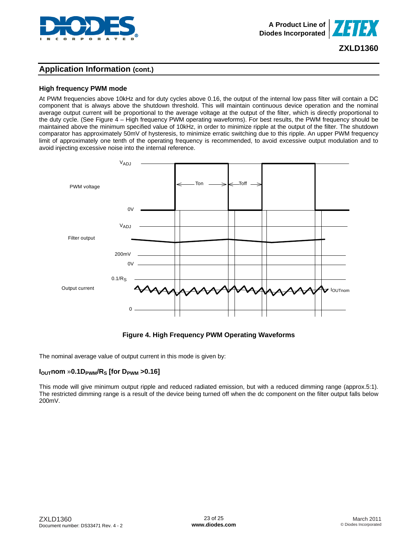

## **Application Information (cont.)**

### **High frequency PWM mode**

At PWM frequencies above 10kHz and for duty cycles above 0.16, the output of the internal low pass filter will contain a DC component that is always above the shutdown threshold. This will maintain continuous device operation and the nominal average output current will be proportional to the average voltage at the output of the filter, which is directly proportional to the duty cycle. (See Figure 4 – High frequency PWM operating waveforms). For best results, the PWM frequency should be maintained above the minimum specified value of 10kHz, in order to minimize ripple at the output of the filter. The shutdown comparator has approximately 50mV of hysteresis, to minimize erratic switching due to this ripple. An upper PWM frequency limit of approximately one tenth of the operating frequency is recommended, to avoid excessive output modulation and to avoid injecting excessive noise into the internal reference.



### **Figure 4. High Frequency PWM Operating Waveforms**

The nominal average value of output current in this mode is given by:

#### $I<sub>OUT</sub>nom$  »0.1D<sub>PWM</sub>/R<sub>S</sub> [for D<sub>PWM</sub> >0.16]

This mode will give minimum output ripple and reduced radiated emission, but with a reduced dimming range (approx.5:1). The restricted dimming range is a result of the device being turned off when the dc component on the filter output falls below 200mV.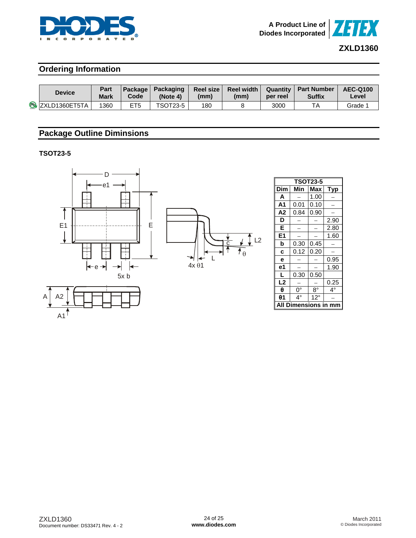



## **Ordering Information**

| <b>Device</b>          | Part<br><b>Mark</b> | <b>Code</b>     | Package Packaging<br>(Note 4) | Reel size l<br>(mm) | Reel width I<br>(mm) | per reel | Quantity   Part Number<br><b>Suffix</b> | <b>AEC-Q100</b><br>∟evel |
|------------------------|---------------------|-----------------|-------------------------------|---------------------|----------------------|----------|-----------------------------------------|--------------------------|
| <b>B</b> ZXLD1360ET5TA | 1360                | ET <sub>5</sub> | <b>TSOT23-5</b>               | 180                 |                      | 3000     |                                         | Grade 1                  |

## **Package Outline Diminsions**

**TSOT23-5** 



| Dim     | Min  | Max          | Typ  |  |  |  |
|---------|------|--------------|------|--|--|--|
| A       |      | 1.00         |      |  |  |  |
| А1      | 0.01 | 0.10         |      |  |  |  |
| Α2      | 0.84 | 0.90         |      |  |  |  |
| D       |      |              | 2.90 |  |  |  |
| Е       |      |              | 2.80 |  |  |  |
| E1      |      |              | 1.60 |  |  |  |
| b       | 0.30 | 0.45         |      |  |  |  |
| C       | 0.12 | 0.20         |      |  |  |  |
| е       |      |              | 0.95 |  |  |  |
| е1      |      |              | 1.90 |  |  |  |
| L       | 0.30 | 0.50         |      |  |  |  |
| L2      |      |              | 0.25 |  |  |  |
| θ       | 0°   | 8°           | 4°   |  |  |  |
| θ1      | 4°   | $12^{\circ}$ |      |  |  |  |
| ensions |      |              |      |  |  |  |

**TSOT23-5** 

⅂

 $A1$ A2 A